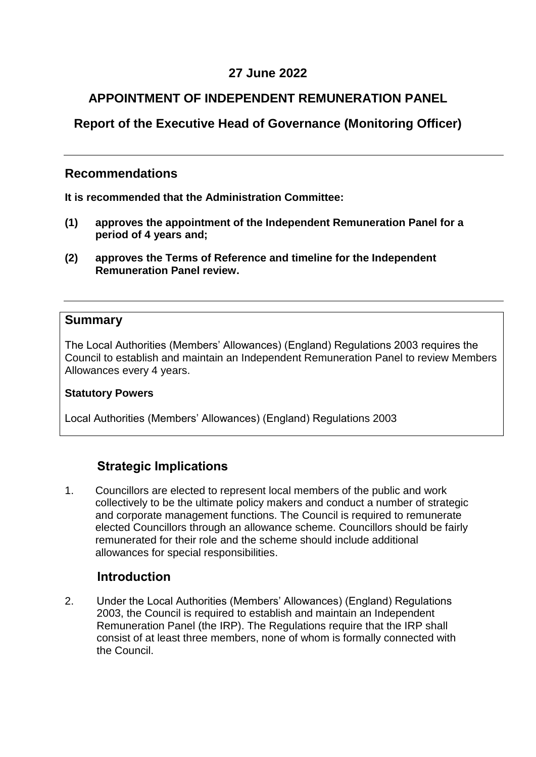# **27 June 2022**

# **APPOINTMENT OF INDEPENDENT REMUNERATION PANEL**

# <span id="page-0-0"></span>**Report of the [Executive Head of Governance \(Monitoring Officer\)](#page-0-0)**

## **Recommendations**

<span id="page-0-1"></span>**[It is recommended that t](#page-0-1)he Administration Committee:**

- **(1) approves the appointment of the Independent Remuneration Panel for a period of 4 years and;**
- **(2) approves the Terms of Reference and timeline for the Independent Remuneration Panel review.**

#### <span id="page-0-2"></span>**[Summary](#page-0-2)**

The Local Authorities (Members' Allowances) (England) Regulations 2003 requires the Council to establish and maintain an Independent Remuneration Panel to review Members Allowances every 4 years.

#### <span id="page-0-3"></span>**[Statutory Powers](#page-0-3)**

Local Authorities (Members' Allowances) (England) Regulations 2003

# **Strategic Implications**

<span id="page-0-4"></span>1. Councillors are elected to represent local members of the public and work collectively to be the ultimate policy makers and conduct a number of strategic and corporate management functions. The Council is required to remunerate elected Councillors through an allowance scheme. Councillors should be fairly remunerated for their role and the scheme should include additional allowances for special responsibilities.

## **[Introduction](#page-0-4)**

2. Under the Local Authorities (Members' Allowances) (England) Regulations 2003, the Council is required to establish and maintain an Independent Remuneration Panel (the IRP). The Regulations require that the IRP shall consist of at least three members, none of whom is formally connected with the Council.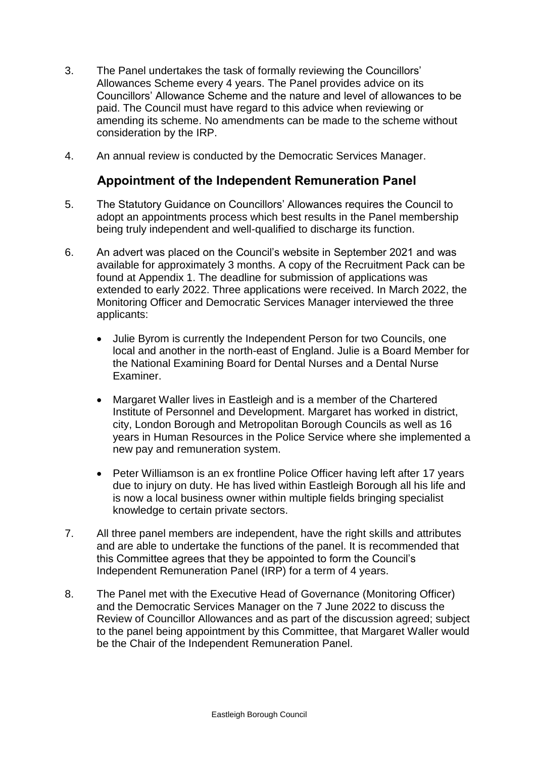- 3. The Panel undertakes the task of formally reviewing the Councillors' Allowances Scheme every 4 years. The Panel provides advice on its Councillors' Allowance Scheme and the nature and level of allowances to be paid. The Council must have regard to this advice when reviewing or amending its scheme. No amendments can be made to the scheme without consideration by the IRP.
- <span id="page-1-0"></span>4. An annual review is conducted by the Democratic Services Manager.

## **[Appointment](#page-1-0) of the Independent Remuneration Panel**

- 5. The Statutory Guidance on Councillors' Allowances requires the Council to adopt an appointments process which best results in the Panel membership being truly independent and well-qualified to discharge its function.
- 6. An advert was placed on the Council's website in September 2021 and was available for approximately 3 months. A copy of the Recruitment Pack can be found at Appendix 1. The deadline for submission of applications was extended to early 2022. Three applications were received. In March 2022, the Monitoring Officer and Democratic Services Manager interviewed the three applicants:
	- Julie Byrom is currently the Independent Person for two Councils, one local and another in the north-east of England. Julie is a Board Member for the National Examining Board for Dental Nurses and a Dental Nurse Examiner.
	- Margaret Waller lives in Eastleigh and is a member of the Chartered Institute of Personnel and Development. Margaret has worked in district, city, London Borough and Metropolitan Borough Councils as well as 16 years in Human Resources in the Police Service where she implemented a new pay and remuneration system.
	- Peter Williamson is an ex frontline Police Officer having left after 17 years due to injury on duty. He has lived within Eastleigh Borough all his life and is now a local business owner within multiple fields bringing specialist knowledge to certain private sectors.
- 7. All three panel members are independent, have the right skills and attributes and are able to undertake the functions of the panel. It is recommended that this Committee agrees that they be appointed to form the Council's Independent Remuneration Panel (IRP) for a term of 4 years.
- 8. The Panel met with the Executive Head of Governance (Monitoring Officer) and the Democratic Services Manager on the 7 June 2022 to discuss the Review of Councillor Allowances and as part of the discussion agreed; subject to the panel being appointment by this Committee, that Margaret Waller would be the Chair of the Independent Remuneration Panel.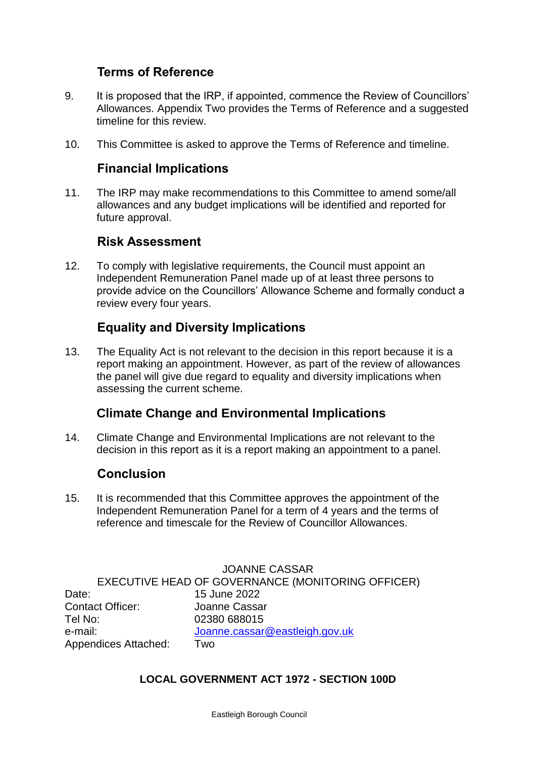## **Terms of Reference**

- <span id="page-2-0"></span>9. It is proposed that the IRP, if appointed, commence the Review of Councillors' Allowances. Appendix Two provides the Terms of Reference and a suggested timeline for this review.
- 10. This Committee is asked to approve the Terms of Reference and timeline.

### **[Financial Implications](#page-2-0)**

11. The IRP may make recommendations to this Committee to amend some/all allowances and any budget implications will be identified and reported for future approval.

#### **[Risk Assessment](#page-2-1)**

<span id="page-2-1"></span>12. To comply with legislative requirements, the Council must appoint an Independent Remuneration Panel made up of at least three persons to provide advice on the Councillors' Allowance Scheme and formally conduct a review every four years.

# **[Equality and Diversity Implications](#page-2-2)**

<span id="page-2-2"></span>13. The Equality Act is not relevant to the decision in this report because it is a report making an appointment. However, as part of the review of allowances the panel will give due regard to equality and diversity implications when assessing the current scheme.

## **Climate Change and Environmental Implications**

14. Climate Change and Environmental Implications are not relevant to the decision in this report as it is a report making an appointment to a panel.

#### **[Conclusion](#page-2-3)**

<span id="page-2-3"></span>15. It is recommended that this Committee approves the appointment of the Independent Remuneration Panel for a term of 4 years and the terms of reference and timescale for the Review of Councillor Allowances.

JOANNE CASSAR EXECUTIVE HEAD OF GOVERNANCE (MONITORING OFFICER) Date: [15 June 2022](#page-2-4) Contact Officer: Joanne Cassar Tel No: 02380 688015 e-mail: [Joanne.cassar@eastleigh.gov.uk](mailto:Joanne.cassar@eastleigh.gov.uk) Appendices Attached: Two

#### <span id="page-2-4"></span>**LOCAL GOVERNMENT ACT 1972 - SECTION 100D**